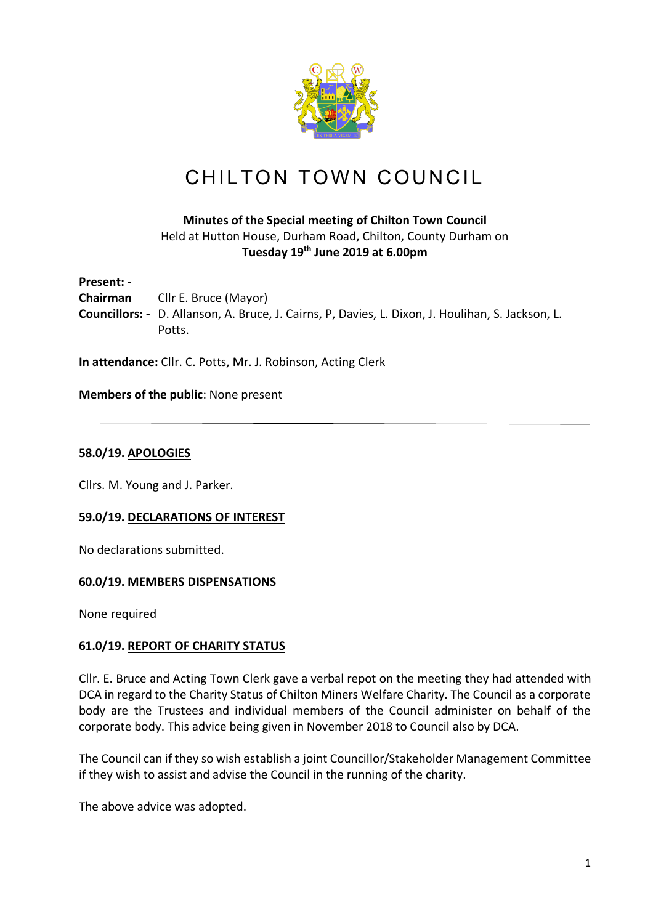

# CHILTON TOWN COUNCIL

# **Minutes of the Special meeting of Chilton Town Council** Held at Hutton House, Durham Road, Chilton, County Durham on **Tuesday 19th June 2019 at 6.00pm**

**Present: - Chairman** Cllr E. Bruce (Mayor) **Councillors: -** D. Allanson, A. Bruce, J. Cairns, P, Davies, L. Dixon, J. Houlihan, S. Jackson, L. Potts.

**In attendance:** Cllr. C. Potts, Mr. J. Robinson, Acting Clerk

**Members of the public**: None present

## **58.0/19. APOLOGIES**

Cllrs. M. Young and J. Parker.

# **59.0/19. DECLARATIONS OF INTEREST**

No declarations submitted.

#### **60.0/19. MEMBERS DISPENSATIONS**

None required

#### **61.0/19. REPORT OF CHARITY STATUS**

Cllr. E. Bruce and Acting Town Clerk gave a verbal repot on the meeting they had attended with DCA in regard to the Charity Status of Chilton Miners Welfare Charity. The Council as a corporate body are the Trustees and individual members of the Council administer on behalf of the corporate body. This advice being given in November 2018 to Council also by DCA.

The Council can if they so wish establish a joint Councillor/Stakeholder Management Committee if they wish to assist and advise the Council in the running of the charity.

The above advice was adopted.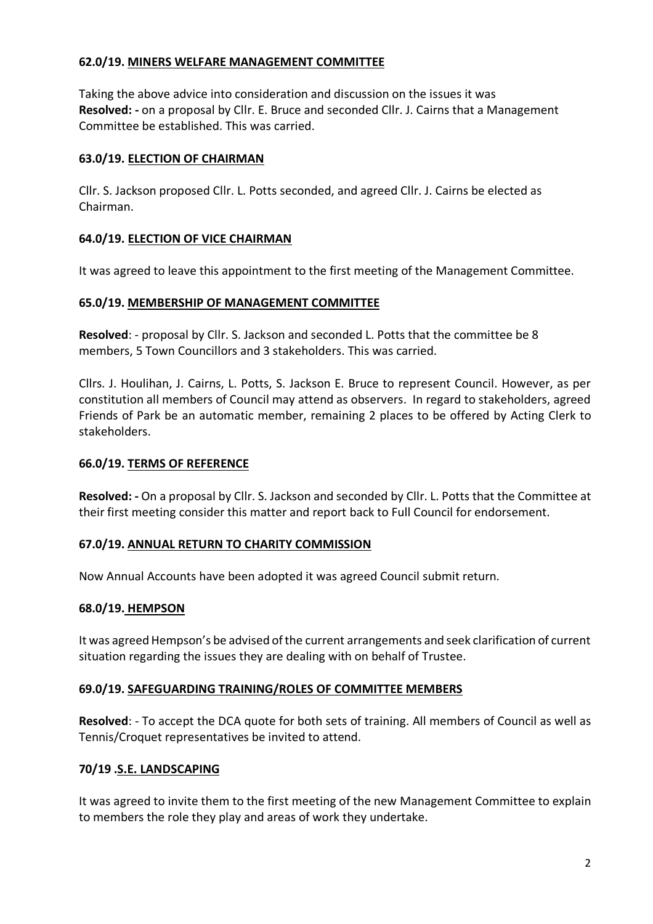# **62.0/19. MINERS WELFARE MANAGEMENT COMMITTEE**

Taking the above advice into consideration and discussion on the issues it was **Resolved: -** on a proposal by Cllr. E. Bruce and seconded Cllr. J. Cairns that a Management Committee be established. This was carried.

# **63.0/19. ELECTION OF CHAIRMAN**

Cllr. S. Jackson proposed Cllr. L. Potts seconded, and agreed Cllr. J. Cairns be elected as Chairman.

## **64.0/19. ELECTION OF VICE CHAIRMAN**

It was agreed to leave this appointment to the first meeting of the Management Committee.

## **65.0/19. MEMBERSHIP OF MANAGEMENT COMMITTEE**

**Resolved**: - proposal by Cllr. S. Jackson and seconded L. Potts that the committee be 8 members, 5 Town Councillors and 3 stakeholders. This was carried.

Cllrs. J. Houlihan, J. Cairns, L. Potts, S. Jackson E. Bruce to represent Council. However, as per constitution all members of Council may attend as observers. In regard to stakeholders, agreed Friends of Park be an automatic member, remaining 2 places to be offered by Acting Clerk to stakeholders.

### **66.0/19. TERMS OF REFERENCE**

**Resolved: -** On a proposal by Cllr. S. Jackson and seconded by Cllr. L. Potts that the Committee at their first meeting consider this matter and report back to Full Council for endorsement.

# **67.0/19. ANNUAL RETURN TO CHARITY COMMISSION**

Now Annual Accounts have been adopted it was agreed Council submit return.

# **68.0/19. HEMPSON**

It was agreed Hempson's be advised of the current arrangements and seek clarification of current situation regarding the issues they are dealing with on behalf of Trustee.

#### **69.0/19. SAFEGUARDING TRAINING/ROLES OF COMMITTEE MEMBERS**

**Resolved**: - To accept the DCA quote for both sets of training. All members of Council as well as Tennis/Croquet representatives be invited to attend.

# **70/19 .S.E. LANDSCAPING**

It was agreed to invite them to the first meeting of the new Management Committee to explain to members the role they play and areas of work they undertake.